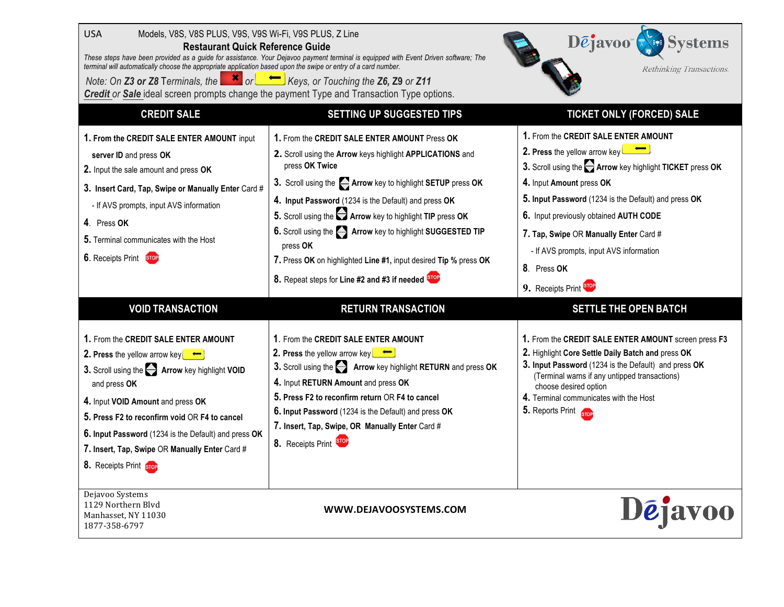| <b>USA</b><br>Models, V8S, V8S PLUS, V9S, V9S Wi-Fi, V9S PLUS, Z Line<br><b>Restaurant Quick Reference Guide</b><br>terminal will automatically choose the appropriate application based upon the swipe or entry of a card number.<br>Note: On <b>Z3 or Z8</b> Terminals, the $\begin{array}{c} \times \\ \hline \end{array}$ or $\begin{array}{c} \hline \end{array}$ Keys, or Touching the <b>Z6, Z9</b> or <b>Z11</b>      | These steps have been provided as a guide for assistance. Your Dejavoo payment terminal is equipped with Event Driven software; The<br>Credit or Sale ideal screen prompts change the payment Type and Transaction Type options.                                                                                                                                                                                                                                                                                                     | $D\bar{e}$ javoo $\sqrt{\mathbf{e}^*}$ Systems<br>Rethinking Transactions.                                                                                                                                                                                                                                                                                                                          |
|-------------------------------------------------------------------------------------------------------------------------------------------------------------------------------------------------------------------------------------------------------------------------------------------------------------------------------------------------------------------------------------------------------------------------------|--------------------------------------------------------------------------------------------------------------------------------------------------------------------------------------------------------------------------------------------------------------------------------------------------------------------------------------------------------------------------------------------------------------------------------------------------------------------------------------------------------------------------------------|-----------------------------------------------------------------------------------------------------------------------------------------------------------------------------------------------------------------------------------------------------------------------------------------------------------------------------------------------------------------------------------------------------|
| <b>CREDIT SALE</b>                                                                                                                                                                                                                                                                                                                                                                                                            | <b>SETTING UP SUGGESTED TIPS</b>                                                                                                                                                                                                                                                                                                                                                                                                                                                                                                     | <b>TICKET ONLY (FORCED) SALE</b>                                                                                                                                                                                                                                                                                                                                                                    |
| 1. From the CREDIT SALE ENTER AMOUNT input<br>server ID and press OK<br>2. Input the sale amount and press OK<br>3. Insert Card, Tap, Swipe or Manually Enter Card #<br>- If AVS prompts, input AVS information<br>4. Press OK<br>5. Terminal communicates with the Host<br>6. Receipts Print STOP                                                                                                                            | 1. From the CREDIT SALE ENTER AMOUNT Press OK<br>2. Scroll using the Arrow keys highlight APPLICATIONS and<br>press OK Twice<br>3. Scroll using the <b>Arrow</b> key to highlight SETUP press OK<br>4. Input Password (1234 is the Default) and press OK<br>5. Scroll using the <b>Arrow</b> key to highlight TIP press OK<br>6. Scroll using the <b>A</b> Arrow key to highlight SUGGESTED TIP<br>press OK<br>7. Press OK on highlighted Line #1, input desired Tip % press OK<br>8. Repeat steps for Line #2 and #3 if needed STOP | 1. From the CREDIT SALE ENTER AMOUNT<br>2. Press the yellow arrow key<br>3. Scroll using the <b>Arrow</b> key highlight TICKET press OK<br>4. Input Amount press OK<br>5. Input Password (1234 is the Default) and press OK<br>6. Input previously obtained AUTH CODE<br>7. Tap, Swipe OR Manually Enter Card #<br>- If AVS prompts, input AVS information<br>8. Press OK<br>9. Receipts Print STOP |
| <b>VOID TRANSACTION</b>                                                                                                                                                                                                                                                                                                                                                                                                       | <b>RETURN TRANSACTION</b>                                                                                                                                                                                                                                                                                                                                                                                                                                                                                                            | <b>SETTLE THE OPEN BATCH</b>                                                                                                                                                                                                                                                                                                                                                                        |
| 1. From the CREDIT SALE ENTER AMOUNT<br>2. Press the yellow arrow key $\left[\begin{array}{c} \leftarrow \end{array}\right]$<br>3. Scroll using the <b>Arrow</b> key highlight VOID<br>and press OK<br>4. Input VOID Amount and press OK<br>5. Press F2 to reconfirm void OR F4 to cancel<br>6. Input Password (1234 is the Default) and press OK<br>7. Insert, Tap, Swipe OR Manually Enter Card #<br>8. Receipts Print STOP | 1. From the CREDIT SALE ENTER AMOUNT<br>2. Press the yellow arrow key $\leftarrow$<br>3. Scroll using the <b>Arrow</b> key highlight RETURN and press OK<br>4. Input RETURN Amount and press OK<br>5. Press F2 to reconfirm return OR F4 to cancel<br>6. Input Password (1234 is the Default) and press OK<br>7. Insert, Tap, Swipe, OR Manually Enter Card #<br>8. Receipts Print STOP                                                                                                                                              | 1. From the CREDIT SALE ENTER AMOUNT screen press F3<br>2. Highlight Core Settle Daily Batch and press OK<br>3. Input Password (1234 is the Default) and press OK<br>(Terminal warns if any untipped transactions)<br>choose desired option<br>4. Terminal communicates with the Host<br>5. Reports Print STOP                                                                                      |
| Dejavoo Systems<br>1129 Northern Blvd<br>Manhasset, NY 11030<br>1877-358-6797                                                                                                                                                                                                                                                                                                                                                 | WWW.DEJAVOOSYSTEMS.COM                                                                                                                                                                                                                                                                                                                                                                                                                                                                                                               | <b>D</b> ejavoo                                                                                                                                                                                                                                                                                                                                                                                     |